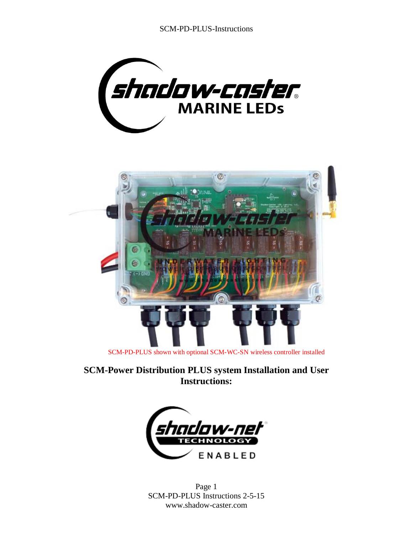SCM-PD-PLUS-Instructions





**SCM-Power Distribution PLUS system Installation and User Instructions:**



Page 1 SCM-PD-PLUS Instructions 2-5-15 www.shadow-caster.com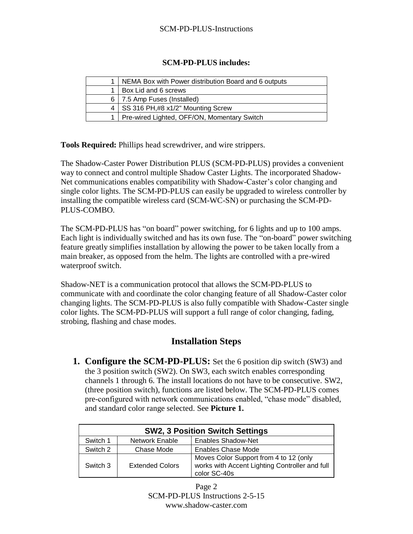## **SCM-PD-PLUS includes:**

| NEMA Box with Power distribution Board and 6 outputs |  |
|------------------------------------------------------|--|
| Box Lid and 6 screws                                 |  |
| 6   7.5 Amp Fuses (Installed)                        |  |
| SS 316 PH,#8 x1/2" Mounting Screw                    |  |
| Pre-wired Lighted, OFF/ON, Momentary Switch          |  |

**Tools Required:** Phillips head screwdriver, and wire strippers.

The Shadow-Caster Power Distribution PLUS (SCM-PD-PLUS) provides a convenient way to connect and control multiple Shadow Caster Lights. The incorporated Shadow-Net communications enables compatibility with Shadow-Caster's color changing and single color lights. The SCM-PD-PLUS can easily be upgraded to wireless controller by installing the compatible wireless card (SCM-WC-SN) or purchasing the SCM-PD-PLUS-COMBO.

The SCM-PD-PLUS has "on board" power switching, for 6 lights and up to 100 amps. Each light is individually switched and has its own fuse. The "on-board" power switching feature greatly simplifies installation by allowing the power to be taken locally from a main breaker, as opposed from the helm. The lights are controlled with a pre-wired waterproof switch.

Shadow-NET is a communication protocol that allows the SCM-PD-PLUS to communicate with and coordinate the color changing feature of all Shadow-Caster color changing lights. The SCM-PD-PLUS is also fully compatible with Shadow-Caster single color lights. The SCM-PD-PLUS will support a full range of color changing, fading, strobing, flashing and chase modes.

## **Installation Steps**

**1. Configure the SCM-PD-PLUS:** Set the 6 position dip switch (SW3) and the 3 position switch (SW2). On SW3, each switch enables corresponding channels 1 through 6. The install locations do not have to be consecutive. SW2, (three position switch), functions are listed below. The SCM-PD-PLUS comes pre-configured with network communications enabled, "chase mode" disabled, and standard color range selected. See **Picture 1.**

| <b>SW2, 3 Position Switch Settings</b> |                        |                                                                                                          |  |  |
|----------------------------------------|------------------------|----------------------------------------------------------------------------------------------------------|--|--|
| Switch 1                               | <b>Network Enable</b>  | <b>Enables Shadow-Net</b>                                                                                |  |  |
| Switch 2                               | Chase Mode             | Enables Chase Mode                                                                                       |  |  |
| Switch 3                               | <b>Extended Colors</b> | Moves Color Support from 4 to 12 (only<br>works with Accent Lighting Controller and full<br>color SC-40s |  |  |

Page 2 SCM-PD-PLUS Instructions 2-5-15 www.shadow-caster.com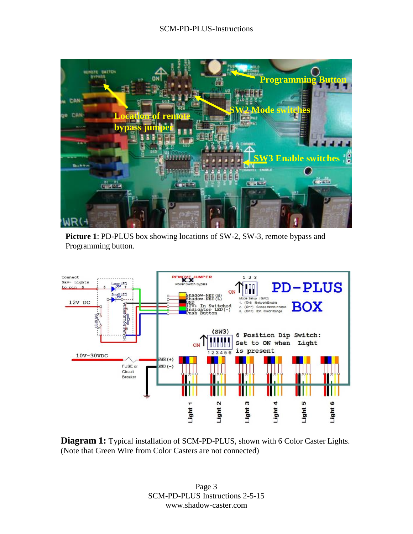

**Picture 1**: PD-PLUS box showing locations of SW-2, SW-3, remote bypass and Programming button.



**Diagram 1:** Typical installation of SCM-PD-PLUS, shown with 6 Color Caster Lights. (Note that Green Wire from Color Casters are not connected)

Page 3 SCM-PD-PLUS Instructions 2-5-15 www.shadow-caster.com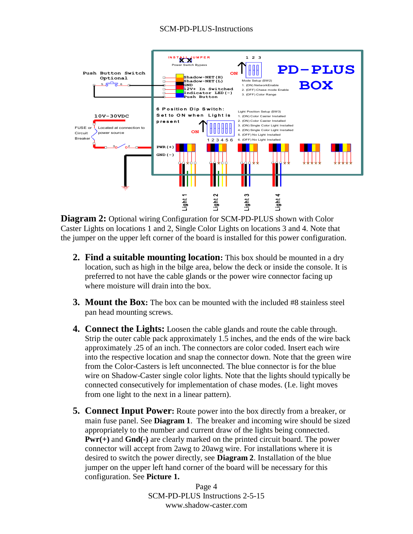

**Diagram 2:** Optional wiring Configuration for SCM-PD-PLUS shown with Color Caster Lights on locations 1 and 2, Single Color Lights on locations 3 and 4. Note that the jumper on the upper left corner of the board is installed for this power configuration.

- **2. Find a suitable mounting location:** This box should be mounted in a dry location, such as high in the bilge area, below the deck or inside the console. It is preferred to not have the cable glands or the power wire connector facing up where moisture will drain into the box.
- **3. Mount the Box:** The box can be mounted with the included #8 stainless steel pan head mounting screws.
- **4. Connect the Lights:** Loosen the cable glands and route the cable through. Strip the outer cable pack approximately 1.5 inches, and the ends of the wire back approximately .25 of an inch. The connectors are color coded. Insert each wire into the respective location and snap the connector down. Note that the green wire from the Color-Casters is left unconnected. The blue connector is for the blue wire on Shadow-Caster single color lights. Note that the lights should typically be connected consecutively for implementation of chase modes. (I.e. light moves from one light to the next in a linear pattern).
- **5. Connect Input Power:** Route power into the box directly from a breaker, or main fuse panel. See **Diagram 1**. The breaker and incoming wire should be sized appropriately to the number and current draw of the lights being connected. **Pwr(+)** and **Gnd(-)** are clearly marked on the printed circuit board. The power connector will accept from 2awg to 20awg wire. For installations where it is desired to switch the power directly, see **Diagram 2**. Installation of the blue jumper on the upper left hand corner of the board will be necessary for this configuration. See **Picture 1.**

Page 4 SCM-PD-PLUS Instructions 2-5-15 www.shadow-caster.com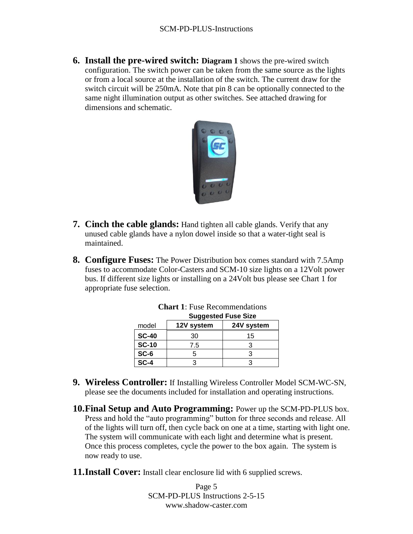**6. Install the pre-wired switch: Diagram 1** shows the pre-wired switch configuration. The switch power can be taken from the same source as the lights or from a local source at the installation of the switch. The current draw for the switch circuit will be 250mA. Note that pin 8 can be optionally connected to the same night illumination output as other switches. See attached drawing for dimensions and schematic.



- **7. Cinch the cable glands:** Hand tighten all cable glands. Verify that any unused cable glands have a nylon dowel inside so that a water-tight seal is maintained.
- **8. Configure Fuses:** The Power Distribution box comes standard with 7.5Amp fuses to accommodate Color-Casters and SCM-10 size lights on a 12Volt power bus. If different size lights or installing on a 24Volt bus please see Chart 1 for appropriate fuse selection.

|              | <b>Ouygested Fuse OILE</b> |            |  |
|--------------|----------------------------|------------|--|
| model        | 12V system                 | 24V system |  |
| <b>SC-40</b> | 30                         | 15         |  |
| <b>SC-10</b> | 7.5                        |            |  |
| $SC-6$       |                            |            |  |
| $SC-4$       |                            |            |  |

**Chart 1**: Fuse Recommendations **Suggested Fuse Size**

- **9. Wireless Controller:** If Installing Wireless Controller Model SCM-WC-SN, please see the documents included for installation and operating instructions.
- **10.Final Setup and Auto Programming:** Power up the SCM-PD-PLUS box. Press and hold the "auto programming" button for three seconds and release. All of the lights will turn off, then cycle back on one at a time, starting with light one. The system will communicate with each light and determine what is present. Once this process completes, cycle the power to the box again. The system is now ready to use.
- **11.Install Cover:** Install clear enclosure lid with 6 supplied screws.

Page 5 SCM-PD-PLUS Instructions 2-5-15 www.shadow-caster.com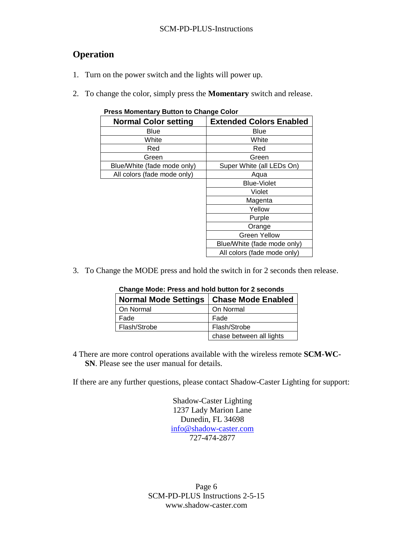## **Operation**

- 1. Turn on the power switch and the lights will power up.
- 2. To change the color, simply press the **Momentary** switch and release.

| <b>I</b> I Cas Monichtary Dutton to Unange Color |                                |  |  |  |
|--------------------------------------------------|--------------------------------|--|--|--|
| <b>Normal Color setting</b>                      | <b>Extended Colors Enabled</b> |  |  |  |
| Blue                                             | Blue                           |  |  |  |
| White                                            | White                          |  |  |  |
| Red                                              | Red                            |  |  |  |
| Green                                            | Green                          |  |  |  |
| Blue/White (fade mode only)                      | Super White (all LEDs On)      |  |  |  |
| All colors (fade mode only)                      | Aqua                           |  |  |  |
|                                                  | <b>Blue-Violet</b>             |  |  |  |
|                                                  | Violet                         |  |  |  |
|                                                  | Magenta                        |  |  |  |
|                                                  | Yellow                         |  |  |  |
|                                                  | Purple                         |  |  |  |
|                                                  | Orange                         |  |  |  |
|                                                  | <b>Green Yellow</b>            |  |  |  |
|                                                  | Blue/White (fade mode only)    |  |  |  |
|                                                  | All colors (fade mode only)    |  |  |  |

**Press Momentary Button to Change Color**

3. To Change the MODE press and hold the switch in for 2 seconds then release.

| Normal Mode Settings   Chase Mode Enabled |                          |  |  |
|-------------------------------------------|--------------------------|--|--|
| On Normal                                 | On Normal                |  |  |
| Fade                                      | Fade                     |  |  |
| Flash/Strobe                              | Flash/Strobe             |  |  |
|                                           | chase between all lights |  |  |

**Change Mode: Press and hold button for 2 seconds**

4 There are more control operations available with the wireless remote **SCM-WC-SN**. Please see the user manual for details.

If there are any further questions, please contact Shadow-Caster Lighting for support:

Shadow-Caster Lighting 1237 Lady Marion Lane Dunedin, FL 34698 [info@shadow-caster.com](mailto:info@shadow-caster.com) 727-474-2877

Page 6 SCM-PD-PLUS Instructions 2-5-15 www.shadow-caster.com